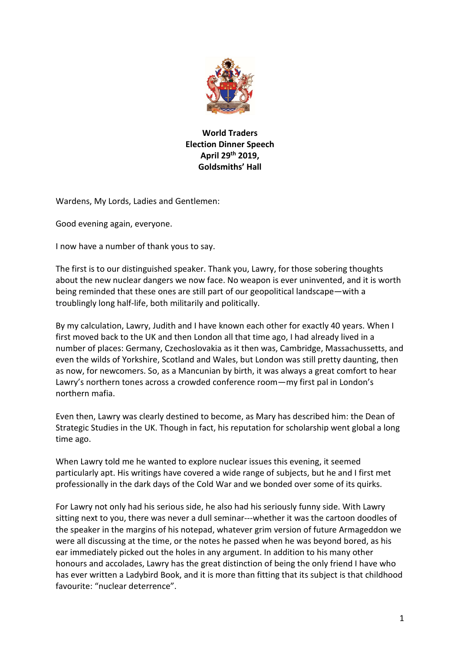

## **World Traders Election Dinner Speech April 29th 2019, Goldsmiths' Hall**

Wardens, My Lords, Ladies and Gentlemen:

Good evening again, everyone.

I now have a number of thank yous to say.

The first is to our distinguished speaker. Thank you, Lawry, for those sobering thoughts about the new nuclear dangers we now face. No weapon is ever uninvented, and it is worth being reminded that these ones are still part of our geopolitical landscape—with a troublingly long half-life, both militarily and politically.

By my calculation, Lawry, Judith and I have known each other for exactly 40 years. When I first moved back to the UK and then London all that time ago, I had already lived in a number of places: Germany, Czechoslovakia as it then was, Cambridge, Massachussetts, and even the wilds of Yorkshire, Scotland and Wales, but London was still pretty daunting, then as now, for newcomers. So, as a Mancunian by birth, it was always a great comfort to hear Lawry's northern tones across a crowded conference room—my first pal in London's northern mafia.

Even then, Lawry was clearly destined to become, as Mary has described him: the Dean of Strategic Studies in the UK. Though in fact, his reputation for scholarship went global a long time ago.

When Lawry told me he wanted to explore nuclear issues this evening, it seemed particularly apt. His writings have covered a wide range of subjects, but he and I first met professionally in the dark days of the Cold War and we bonded over some of its quirks.

For Lawry not only had his serious side, he also had his seriously funny side. With Lawry sitting next to you, there was never a dull seminar---whether it was the cartoon doodles of the speaker in the margins of his notepad, whatever grim version of future Armageddon we were all discussing at the time, or the notes he passed when he was beyond bored, as his ear immediately picked out the holes in any argument. In addition to his many other honours and accolades, Lawry has the great distinction of being the only friend I have who has ever written a Ladybird Book, and it is more than fitting that its subject is that childhood favourite: "nuclear deterrence".